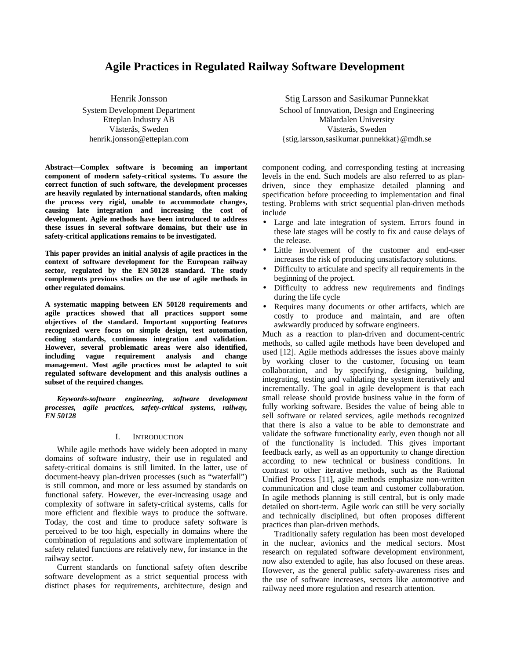# **Agile Practices in Regulated Railway Software Development**

Henrik Jonsson System Development Department Etteplan Industry AB Västerås, Sweden henrik.jonsson@etteplan.com

**Abstract—Complex software is becoming an important component of modern safety-critical systems. To assure the correct function of such software, the development processes are heavily regulated by international standards, often making the process very rigid, unable to accommodate changes, causing late integration and increasing the cost of development. Agile methods have been introduced to address these issues in several software domains, but their use in safety-critical applications remains to be investigated.** 

**This paper provides an initial analysis of agile practices in the context of software development for the European railway sector, regulated by the EN 50128 standard. The study complements previous studies on the use of agile methods in other regulated domains.** 

**A systematic mapping between EN 50128 requirements and agile practices showed that all practices support some objectives of the standard. Important supporting features recognized were focus on simple design, test automation, coding standards, continuous integration and validation. However, several problematic areas were also identified, including vague requirement analysis and change management. Most agile practices must be adapted to suit regulated software development and this analysis outlines a subset of the required changes.** 

*Keywords-software engineering, software development processes, agile practices, safety-critical systems, railway, EN 50128* 

# I. INTRODUCTION

While agile methods have widely been adopted in many domains of software industry, their use in regulated and safety-critical domains is still limited. In the latter, use of document-heavy plan-driven processes (such as "waterfall") is still common, and more or less assumed by standards on functional safety. However, the ever-increasing usage and complexity of software in safety-critical systems, calls for more efficient and flexible ways to produce the software. Today, the cost and time to produce safety software is perceived to be too high, especially in domains where the combination of regulations and software implementation of safety related functions are relatively new, for instance in the railway sector.

Current standards on functional safety often describe software development as a strict sequential process with distinct phases for requirements, architecture, design and

Stig Larsson and Sasikumar Punnekkat School of Innovation, Design and Engineering Mälardalen University Västerås, Sweden {stig.larsson,sasikumar.punnekkat}@mdh.se

component coding, and corresponding testing at increasing levels in the end. Such models are also referred to as plandriven, since they emphasize detailed planning and specification before proceeding to implementation and final testing. Problems with strict sequential plan-driven methods include

- Large and late integration of system. Errors found in these late stages will be costly to fix and cause delays of the release.
- Little involvement of the customer and end-user increases the risk of producing unsatisfactory solutions.
- Difficulty to articulate and specify all requirements in the beginning of the project.
- Difficulty to address new requirements and findings during the life cycle
- Requires many documents or other artifacts, which are costly to produce and maintain, and are often awkwardly produced by software engineers.

Much as a reaction to plan-driven and document-centric methods, so called agile methods have been developed and used [12]. Agile methods addresses the issues above mainly by working closer to the customer, focusing on team collaboration, and by specifying, designing, building, integrating, testing and validating the system iteratively and incrementally. The goal in agile development is that each small release should provide business value in the form of fully working software. Besides the value of being able to sell software or related services, agile methods recognized that there is also a value to be able to demonstrate and validate the software functionality early, even though not all of the functionality is included. This gives important feedback early, as well as an opportunity to change direction according to new technical or business conditions. In contrast to other iterative methods, such as the Rational Unified Process [11], agile methods emphasize non-written communication and close team and customer collaboration. In agile methods planning is still central, but is only made detailed on short-term. Agile work can still be very socially and technically disciplined, but often proposes different practices than plan-driven methods.

Traditionally safety regulation has been most developed in the nuclear, avionics and the medical sectors. Most research on regulated software development environment, now also extended to agile, has also focused on these areas. However, as the general public safety-awareness rises and the use of software increases, sectors like automotive and railway need more regulation and research attention.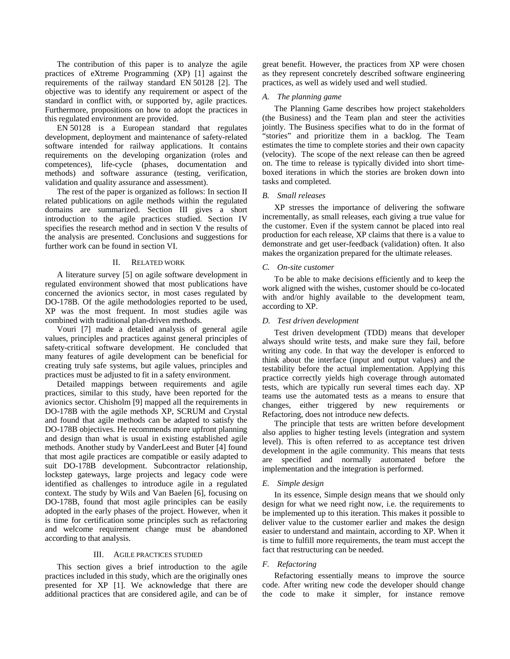The contribution of this paper is to analyze the agile practices of eXtreme Programming (XP) [1] against the requirements of the railway standard EN 50128 [2]. The objective was to identify any requirement or aspect of the standard in conflict with, or supported by, agile practices. Furthermore, propositions on how to adopt the practices in this regulated environment are provided.

EN 50128 is a European standard that regulates development, deployment and maintenance of safety-related software intended for railway applications. It contains requirements on the developing organization (roles and competences), life-cycle (phases, documentation and methods) and software assurance (testing, verification, validation and quality assurance and assessment).

The rest of the paper is organized as follows: In section II related publications on agile methods within the regulated domains are summarized. Section III gives a short introduction to the agile practices studied. Section IV specifies the research method and in section V the results of the analysis are presented. Conclusions and suggestions for further work can be found in section VI.

## II. RELATED WORK

A literature survey [5] on agile software development in regulated environment showed that most publications have concerned the avionics sector, in most cases regulated by DO-178B. Of the agile methodologies reported to be used, XP was the most frequent. In most studies agile was combined with traditional plan-driven methods.

Vouri [7] made a detailed analysis of general agile values, principles and practices against general principles of safety-critical software development. He concluded that many features of agile development can be beneficial for creating truly safe systems, but agile values, principles and practices must be adjusted to fit in a safety environment.

Detailed mappings between requirements and agile practices, similar to this study, have been reported for the avionics sector. Chisholm [9] mapped all the requirements in DO-178B with the agile methods XP, SCRUM and Crystal and found that agile methods can be adapted to satisfy the DO-178B objectives. He recommends more upfront planning and design than what is usual in existing established agile methods. Another study by VanderLeest and Buter [4] found that most agile practices are compatible or easily adapted to suit DO-178B development. Subcontractor relationship, lockstep gateways, large projects and legacy code were identified as challenges to introduce agile in a regulated context. The study by Wils and Van Baelen [6], focusing on DO-178B, found that most agile principles can be easily adopted in the early phases of the project. However, when it is time for certification some principles such as refactoring and welcome requirement change must be abandoned according to that analysis.

## III. AGILE PRACTICES STUDIED

This section gives a brief introduction to the agile practices included in this study, which are the originally ones presented for XP [1]. We acknowledge that there are additional practices that are considered agile, and can be of great benefit. However, the practices from XP were chosen as they represent concretely described software engineering practices, as well as widely used and well studied.

## *A. The planning game*

The Planning Game describes how project stakeholders (the Business) and the Team plan and steer the activities jointly. The Business specifies what to do in the format of "stories" and prioritize them in a backlog. The Team estimates the time to complete stories and their own capacity (velocity). The scope of the next release can then be agreed on. The time to release is typically divided into short timeboxed iterations in which the stories are broken down into tasks and completed.

#### *B. Small releases*

XP stresses the importance of delivering the software incrementally, as small releases, each giving a true value for the customer. Even if the system cannot be placed into real production for each release, XP claims that there is a value to demonstrate and get user-feedback (validation) often. It also makes the organization prepared for the ultimate releases.

## *C. On-site customer*

To be able to make decisions efficiently and to keep the work aligned with the wishes, customer should be co-located with and/or highly available to the development team, according to XP.

## *D. Test driven development*

Test driven development (TDD) means that developer always should write tests, and make sure they fail, before writing any code. In that way the developer is enforced to think about the interface (input and output values) and the testability before the actual implementation. Applying this practice correctly yields high coverage through automated tests, which are typically run several times each day. XP teams use the automated tests as a means to ensure that changes, either triggered by new requirements or Refactoring, does not introduce new defects.

The principle that tests are written before development also applies to higher testing levels (integration and system level). This is often referred to as acceptance test driven development in the agile community. This means that tests are specified and normally automated before the implementation and the integration is performed.

#### *E. Simple design*

In its essence, Simple design means that we should only design for what we need right now, i.e. the requirements to be implemented up to this iteration. This makes it possible to deliver value to the customer earlier and makes the design easier to understand and maintain, according to XP. When it is time to fulfill more requirements, the team must accept the fact that restructuring can be needed.

# *F. Refactoring*

Refactoring essentially means to improve the source code. After writing new code the developer should change the code to make it simpler, for instance remove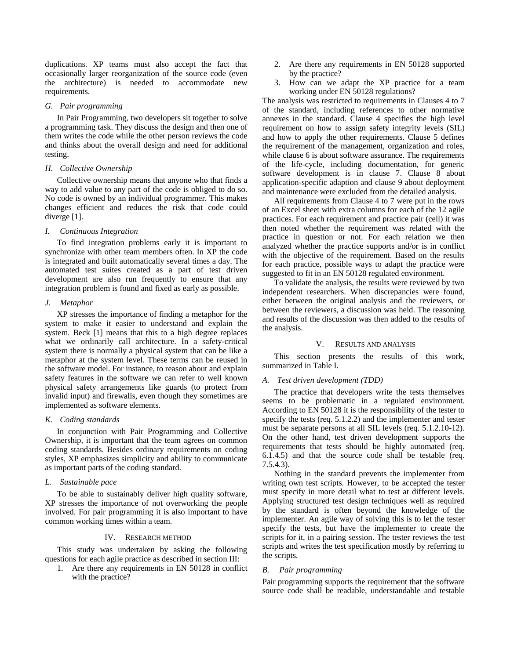duplications. XP teams must also accept the fact that occasionally larger reorganization of the source code (even the architecture) is needed to accommodate new requirements.

# *G. Pair programming*

In Pair Programming, two developers sit together to solve a programming task. They discuss the design and then one of them writes the code while the other person reviews the code and thinks about the overall design and need for additional testing.

## *H. Collective Ownership*

Collective ownership means that anyone who that finds a way to add value to any part of the code is obliged to do so. No code is owned by an individual programmer. This makes changes efficient and reduces the risk that code could diverge [1].

#### *I. Continuous Integration*

To find integration problems early it is important to synchronize with other team members often. In XP the code is integrated and built automatically several times a day. The automated test suites created as a part of test driven development are also run frequently to ensure that any integration problem is found and fixed as early as possible.

#### *J. Metaphor*

XP stresses the importance of finding a metaphor for the system to make it easier to understand and explain the system. Beck [1] means that this to a high degree replaces what we ordinarily call architecture. In a safety-critical system there is normally a physical system that can be like a metaphor at the system level. These terms can be reused in the software model. For instance, to reason about and explain safety features in the software we can refer to well known physical safety arrangements like guards (to protect from invalid input) and firewalls, even though they sometimes are implemented as software elements.

## *K. Coding standards*

In conjunction with Pair Programming and Collective Ownership, it is important that the team agrees on common coding standards. Besides ordinary requirements on coding styles, XP emphasizes simplicity and ability to communicate as important parts of the coding standard.

## *L. Sustainable pace*

To be able to sustainably deliver high quality software, XP stresses the importance of not overworking the people involved. For pair programming it is also important to have common working times within a team.

## IV. RESEARCH METHOD

This study was undertaken by asking the following questions for each agile practice as described in section III:

1. Are there any requirements in EN 50128 in conflict with the practice?

- 2. Are there any requirements in EN 50128 supported by the practice?
- 3. How can we adapt the XP practice for a team working under EN 50128 regulations?

The analysis was restricted to requirements in Clauses 4 to 7 of the standard, including references to other normative annexes in the standard. Clause 4 specifies the high level requirement on how to assign safety integrity levels (SIL) and how to apply the other requirements. Clause 5 defines the requirement of the management, organization and roles, while clause 6 is about software assurance. The requirements of the life-cycle, including documentation, for generic software development is in clause 7. Clause 8 about application-specific adaption and clause 9 about deployment and maintenance were excluded from the detailed analysis.

All requirements from Clause 4 to 7 were put in the rows of an Excel sheet with extra columns for each of the 12 agile practices. For each requirement and practice pair (cell) it was then noted whether the requirement was related with the practice in question or not. For each relation we then analyzed whether the practice supports and/or is in conflict with the objective of the requirement. Based on the results for each practice, possible ways to adapt the practice were suggested to fit in an EN 50128 regulated environment.

To validate the analysis, the results were reviewed by two independent researchers. When discrepancies were found, either between the original analysis and the reviewers, or between the reviewers, a discussion was held. The reasoning and results of the discussion was then added to the results of the analysis.

#### V. RESULTS AND ANALYSIS

This section presents the results of this work, summarized in Table I.

#### *A. Test driven development (TDD)*

The practice that developers write the tests themselves seems to be problematic in a regulated environment. According to EN 50128 it is the responsibility of the tester to specify the tests (req. 5.1.2.2) and the implementer and tester must be separate persons at all SIL levels (req. 5.1.2.10-12). On the other hand, test driven development supports the requirements that tests should be highly automated (req. 6.1.4.5) and that the source code shall be testable (req. 7.5.4.3).

Nothing in the standard prevents the implementer from writing own test scripts. However, to be accepted the tester must specify in more detail what to test at different levels. Applying structured test design techniques well as required by the standard is often beyond the knowledge of the implementer. An agile way of solving this is to let the tester specify the tests, but have the implementer to create the scripts for it, in a pairing session. The tester reviews the test scripts and writes the test specification mostly by referring to the scripts.

## *B. Pair programming*

Pair programming supports the requirement that the software source code shall be readable, understandable and testable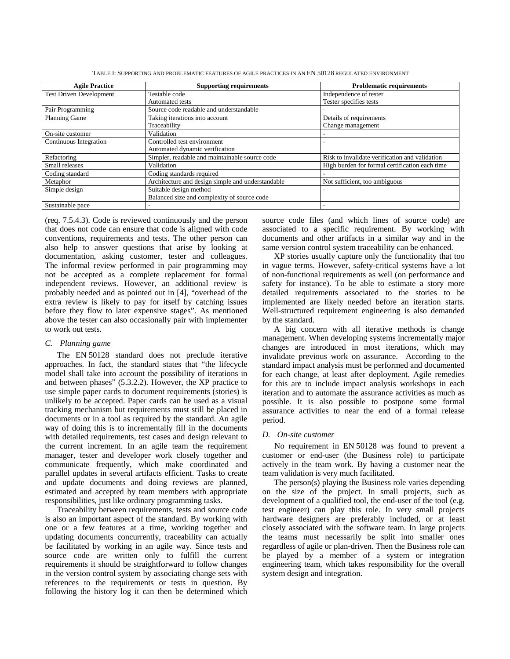| <b>Agile Practice</b>          | <b>Supporting requirements</b>                    | <b>Problematic requirements</b>                |
|--------------------------------|---------------------------------------------------|------------------------------------------------|
| <b>Test Driven Development</b> | Testable code                                     | Independence of tester                         |
|                                | <b>Automated tests</b>                            | Tester specifies tests                         |
| Pair Programming               | Source code readable and understandable           |                                                |
| <b>Planning Game</b>           | Taking iterations into account                    | Details of requirements                        |
|                                | Traceability                                      | Change management                              |
| On-site customer               | Validation                                        |                                                |
| Continuous Integration         | Controlled test environment                       |                                                |
|                                | Automated dynamic verification                    |                                                |
| Refactoring                    | Simpler, readable and maintainable source code    | Risk to invalidate verification and validation |
| Small releases                 | Validation                                        | High burden for formal certification each time |
| Coding standard                | Coding standards required                         |                                                |
| Metaphor                       | Architecture and design simple and understandable | Not sufficient, too ambiguous                  |
| Simple design                  | Suitable design method                            |                                                |
|                                | Balanced size and complexity of source code       |                                                |
| Sustainable pace               |                                                   |                                                |

TABLE I: SUPPORTING AND PROBLEMATIC FEATURES OF AGILE PRACTICES IN AN EN 50128 REGULATED ENVIRONMENT

(req. 7.5.4.3). Code is reviewed continuously and the person that does not code can ensure that code is aligned with code conventions, requirements and tests. The other person can also help to answer questions that arise by looking at documentation, asking customer, tester and colleagues. The informal review performed in pair programming may not be accepted as a complete replacement for formal independent reviews. However, an additional review is probably needed and as pointed out in [4], "overhead of the extra review is likely to pay for itself by catching issues before they flow to later expensive stages". As mentioned above the tester can also occasionally pair with implementer to work out tests.

# *C. Planning game*

The EN 50128 standard does not preclude iterative approaches. In fact, the standard states that "the lifecycle model shall take into account the possibility of iterations in and between phases" (5.3.2.2). However, the XP practice to use simple paper cards to document requirements (stories) is unlikely to be accepted. Paper cards can be used as a visual tracking mechanism but requirements must still be placed in documents or in a tool as required by the standard. An agile way of doing this is to incrementally fill in the documents with detailed requirements, test cases and design relevant to the current increment. In an agile team the requirement manager, tester and developer work closely together and communicate frequently, which make coordinated and parallel updates in several artifacts efficient. Tasks to create and update documents and doing reviews are planned, estimated and accepted by team members with appropriate responsibilities, just like ordinary programming tasks.

Traceability between requirements, tests and source code is also an important aspect of the standard. By working with one or a few features at a time, working together and updating documents concurrently, traceability can actually be facilitated by working in an agile way. Since tests and source code are written only to fulfill the current requirements it should be straightforward to follow changes in the version control system by associating change sets with references to the requirements or tests in question. By following the history log it can then be determined which source code files (and which lines of source code) are associated to a specific requirement. By working with documents and other artifacts in a similar way and in the same version control system traceability can be enhanced.

XP stories usually capture only the functionality that too in vague terms. However, safety-critical systems have a lot of non-functional requirements as well (on performance and safety for instance). To be able to estimate a story more detailed requirements associated to the stories to be implemented are likely needed before an iteration starts. Well-structured requirement engineering is also demanded by the standard.

A big concern with all iterative methods is change management. When developing systems incrementally major changes are introduced in most iterations, which may invalidate previous work on assurance. According to the standard impact analysis must be performed and documented for each change, at least after deployment. Agile remedies for this are to include impact analysis workshops in each iteration and to automate the assurance activities as much as possible. It is also possible to postpone some formal assurance activities to near the end of a formal release period.

# *D. On-site customer*

No requirement in EN 50128 was found to prevent a customer or end-user (the Business role) to participate actively in the team work. By having a customer near the team validation is very much facilitated.

The person(s) playing the Business role varies depending on the size of the project. In small projects, such as development of a qualified tool, the end-user of the tool (e.g. test engineer) can play this role. In very small projects hardware designers are preferably included, or at least closely associated with the software team. In large projects the teams must necessarily be split into smaller ones regardless of agile or plan-driven. Then the Business role can be played by a member of a system or integration engineering team, which takes responsibility for the overall system design and integration.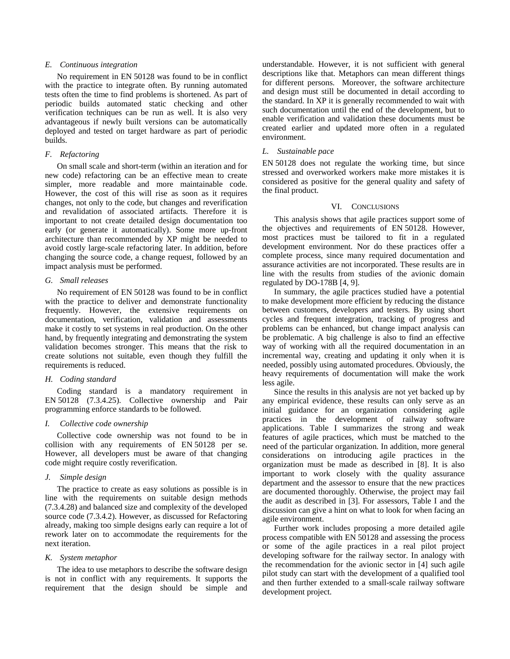#### *E. Continuous integration*

No requirement in EN 50128 was found to be in conflict with the practice to integrate often. By running automated tests often the time to find problems is shortened. As part of periodic builds automated static checking and other verification techniques can be run as well. It is also very advantageous if newly built versions can be automatically deployed and tested on target hardware as part of periodic builds.

# *F. Refactoring*

On small scale and short-term (within an iteration and for new code) refactoring can be an effective mean to create simpler, more readable and more maintainable code. However, the cost of this will rise as soon as it requires changes, not only to the code, but changes and reverification and revalidation of associated artifacts. Therefore it is important to not create detailed design documentation too early (or generate it automatically). Some more up-front architecture than recommended by XP might be needed to avoid costly large-scale refactoring later. In addition, before changing the source code, a change request, followed by an impact analysis must be performed.

## *G. Small releases*

No requirement of EN 50128 was found to be in conflict with the practice to deliver and demonstrate functionality frequently. However, the extensive requirements on documentation, verification, validation and assessments make it costly to set systems in real production. On the other hand, by frequently integrating and demonstrating the system validation becomes stronger. This means that the risk to create solutions not suitable, even though they fulfill the requirements is reduced.

#### *H. Coding standard*

Coding standard is a mandatory requirement in EN 50128 (7.3.4.25). Collective ownership and Pair programming enforce standards to be followed.

## *I. Collective code ownership*

Collective code ownership was not found to be in collision with any requirements of EN 50128 per se. However, all developers must be aware of that changing code might require costly reverification.

## *J. Simple design*

The practice to create as easy solutions as possible is in line with the requirements on suitable design methods (7.3.4.28) and balanced size and complexity of the developed source code (7.3.4.2). However, as discussed for Refactoring already, making too simple designs early can require a lot of rework later on to accommodate the requirements for the next iteration.

## *K. System metaphor*

The idea to use metaphors to describe the software design is not in conflict with any requirements. It supports the requirement that the design should be simple and understandable. However, it is not sufficient with general descriptions like that. Metaphors can mean different things for different persons. Moreover, the software architecture and design must still be documented in detail according to the standard. In XP it is generally recommended to wait with such documentation until the end of the development, but to enable verification and validation these documents must be created earlier and updated more often in a regulated environment.

# *L. Sustainable pace*

EN 50128 does not regulate the working time, but since stressed and overworked workers make more mistakes it is considered as positive for the general quality and safety of the final product.

#### VI. CONCLUSIONS

This analysis shows that agile practices support some of the objectives and requirements of EN 50128. However, most practices must be tailored to fit in a regulated development environment. Nor do these practices offer a complete process, since many required documentation and assurance activities are not incorporated. These results are in line with the results from studies of the avionic domain regulated by DO-178B [4, 9].

In summary, the agile practices studied have a potential to make development more efficient by reducing the distance between customers, developers and testers. By using short cycles and frequent integration, tracking of progress and problems can be enhanced, but change impact analysis can be problematic. A big challenge is also to find an effective way of working with all the required documentation in an incremental way, creating and updating it only when it is needed, possibly using automated procedures. Obviously, the heavy requirements of documentation will make the work less agile.

Since the results in this analysis are not yet backed up by any empirical evidence, these results can only serve as an initial guidance for an organization considering agile practices in the development of railway software applications. Table I summarizes the strong and weak features of agile practices, which must be matched to the need of the particular organization. In addition, more general considerations on introducing agile practices in the organization must be made as described in [8]. It is also important to work closely with the quality assurance department and the assessor to ensure that the new practices are documented thoroughly. Otherwise, the project may fail the audit as described in [3]. For assessors, Table I and the discussion can give a hint on what to look for when facing an agile environment.

Further work includes proposing a more detailed agile process compatible with EN 50128 and assessing the process or some of the agile practices in a real pilot project developing software for the railway sector. In analogy with the recommendation for the avionic sector in [4] such agile pilot study can start with the development of a qualified tool and then further extended to a small-scale railway software development project.